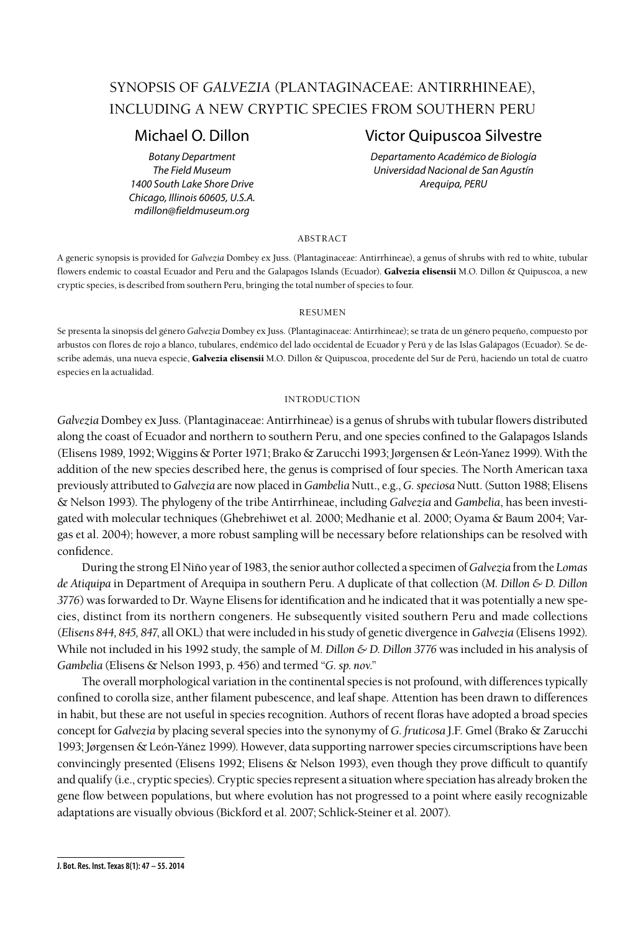# SYNOPSIS OF *GALVEZIA* (PLANTAGINACEAE: ANTIRRHINEAE), INCLUDING A NEW CRYPTIC SPECIES FROM SOUTHERN PERU

*1400 South Lake Shore Drive Arequipa, PERU Chicago, Illinois 60605, U.S.A. mdillon@fieldmuseum.org* 

# Michael O. Dillon Victor Quipuscoa Silvestre

*Botany Department Departamento Académico de Biología The Field Museum Universidad Nacional de San Agustín*

## abstract

A generic synopsis is provided for *Galvezia* Dombey ex Juss. (Plantaginaceae: Antirrhineae), a genus of shrubs with red to white, tubular flowers endemic to coastal Ecuador and Peru and the Galapagos Islands (Ecuador). Galvezia elisensii M.O. Dillon & Quipuscoa, a new cryptic species, is described from southern Peru, bringing the total number of species to four.

#### resumen

Se presenta la sinopsis del género *Galvezia* Dombey ex Juss. (Plantaginaceae: Antirrhineae); se trata de un género pequeño, compuesto por arbustos con flores de rojo a blanco, tubulares, endémico del lado occidental de Ecuador y Perú y de las Islas Galápagos (Ecuador). Se describe además, una nueva especie, Galvezia elisensii M.O. Dillon & Quipuscoa, procedente del Sur de Perú, haciendo un total de cuatro especies en la actualidad.

# introduction

*Galvezia* Dombey ex Juss. (Plantaginaceae: Antirrhineae) is a genus of shrubs with tubular flowers distributed along the coast of Ecuador and northern to southern Peru, and one species confined to the Galapagos Islands (Elisens 1989, 1992; Wiggins & Porter 1971; Brako & Zarucchi 1993; Jørgensen & León-Yanez 1999). With the addition of the new species described here, the genus is comprised of four species. The North American taxa previously attributed to *Galvezia* are now placed in *Gambelia* Nutt., e.g., *G. speciosa* Nutt. (Sutton 1988; Elisens & Nelson 1993). The phylogeny of the tribe Antirrhineae, including *Galvezia* and *Gambelia*, has been investigated with molecular techniques (Ghebrehiwet et al. 2000; Medhanie et al. 2000; Oyama & Baum 2004; Vargas et al. 2004); however, a more robust sampling will be necessary before relationships can be resolved with confidence.

During the strong El Niño year of 1983, the senior author collected a specimen of *Galvezia* from the *Lomas de Atiquipa* in Department of Arequipa in southern Peru. A duplicate of that collection (*M. Dillon & D. Dillon 3776*) was forwarded to Dr. Wayne Elisens for identification and he indicated that it was potentially a new species, distinct from its northern congeners. He subsequently visited southern Peru and made collections (*Elisens 844, 845, 847*, all OKL) that were included in his study of genetic divergence in *Galvezia* (Elisens 1992). While not included in his 1992 study, the sample of *M. Dillon & D. Dillon 3776* was included in his analysis of *Gambelia* (Elisens & Nelson 1993, p. 456) and termed "*G. sp. nov*."

The overall morphological variation in the continental species is not profound, with differences typically confined to corolla size, anther filament pubescence, and leaf shape. Attention has been drawn to differences in habit, but these are not useful in species recognition. Authors of recent floras have adopted a broad species concept for *Galvezia* by placing several species into the synonymy of *G. fruticosa* J.F. Gmel(Brako & Zarucchi 1993; Jørgensen & León-Yánez 1999). However, data supporting narrower species circumscriptions have been convincingly presented (Elisens 1992; Elisens & Nelson 1993), even though they prove difficult to quantify and qualify (i.e., cryptic species). Cryptic species represent a situation where speciation has already broken the gene flow between populations, but where evolution has not progressed to a point where easily recognizable adaptations are visually obvious (Bickford et al. 2007; Schlick-Steiner et al. 2007).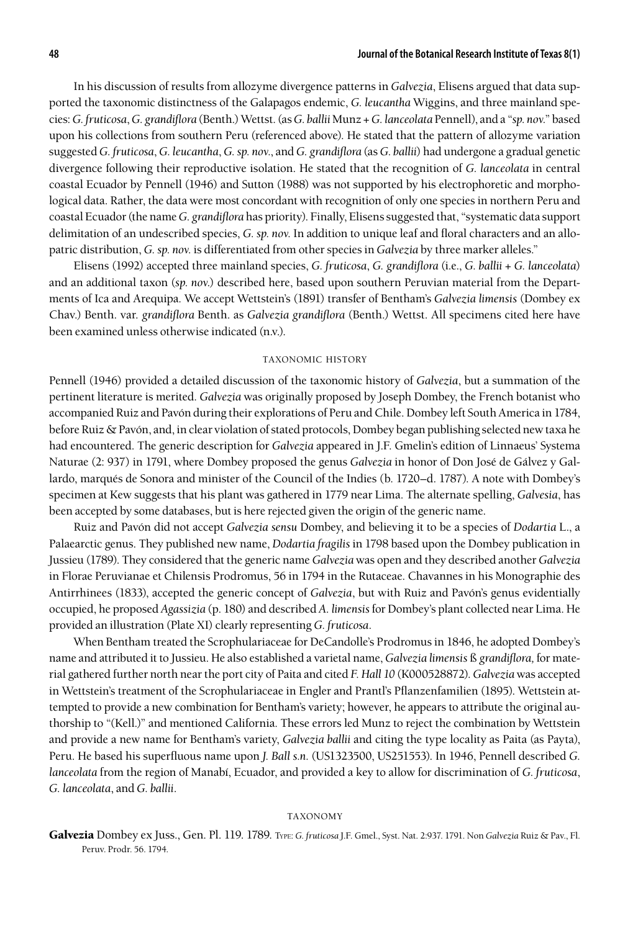In his discussion of results from allozyme divergence patterns in *Galvezia*, Elisens argued that data supported the taxonomic distinctness of the Galapagos endemic, *G. leucantha* Wiggins, and three mainland species: *G. fruticosa*, *G. grandiflora* (Benth.) Wettst.(as *G. ballii* Munz + *G. lanceolata* Pennell), and a "*sp. nov.*" based upon his collections from southern Peru (referenced above). He stated that the pattern of allozyme variation suggested *G. fruticosa*, *G. leucantha*, *G. sp. nov.*, and *G. grandiflora* (as *G. ballii*) had undergone a gradual genetic divergence following their reproductive isolation. He stated that the recognition of *G. lanceolata* in central coastal Ecuador by Pennell (1946) and Sutton (1988) was not supported by his electrophoretic and morphological data. Rather, the data were most concordant with recognition of only one species in northern Peru and coastal Ecuador (the name *G. grandiflora* has priority). Finally, Elisens suggested that, "systematic data support delimitation of an undescribed species, *G. sp. nov.* In addition to unique leaf and floral characters and an allopatric distribution, *G. sp. nov.* is differentiated from other species in *Galvezia* by three marker alleles."

Elisens (1992) accepted three mainland species, *G. fruticosa*, *G. grandiflora* (i.e., *G. ballii* + *G. lanceolata*) and an additional taxon (*sp. nov*.) described here, based upon southern Peruvian material from the Departments of Ica and Arequipa. We accept Wettstein's (1891) transfer of Bentham's *Galvezia limensis* (Dombey ex Chav.) Benth. var. *grandiflora* Benth. as *Galvezia grandiflora* (Benth.) Wettst. All specimens cited here have been examined unless otherwise indicated (n.v.).

#### taxonomic history

Pennell (1946) provided a detailed discussion of the taxonomic history of *Galvezia*, but a summation of the pertinent literature is merited. *Galvezia* was originally proposed by Joseph Dombey, the French botanist who accompanied Ruiz and Pavón during their explorations of Peru and Chile. Dombey left South America in 1784, before Ruiz & Pavón, and, in clear violation of stated protocols, Dombey began publishing selected new taxa he had encountered. The generic description for *Galvezia* appeared in J.F. Gmelin's edition of Linnaeus' Systema Naturae (2: 937) in 1791, where Dombey proposed the genus *Galvezia* in honor of Don José de Gálvez y Gallardo, marqués de Sonora and minister of the Council of the Indies (b. 1720–d. 1787). A note with Dombey's specimen at Kew suggests that his plant was gathered in 1779 near Lima. The alternate spelling, *Galvesia*, has been accepted by some databases, but is here rejected given the origin of the generic name.

Ruiz and Pavón did not accept *Galvezia sensu* Dombey, and believing it to be a species of *Dodartia* L., a Palaearctic genus. They published new name, *Dodartia fragilis* in 1798 based upon the Dombey publication in Jussieu (1789). They considered that the generic name *Galvezia* was open and they described another *Galvezia*  in Florae Peruvianae et Chilensis Prodromus, 56 in 1794 in the Rutaceae. Chavannes in his Monographie des Antirrhinees (1833), accepted the generic concept of *Galvezia*, but with Ruiz and Pavón's genus evidentially occupied, he proposed *Agassizia* (p. 180) and described *A. limensis* for Dombey's plant collected near Lima. He provided an illustration (Plate XI) clearly representing *G. fruticosa*.

When Bentham treated the Scrophulariaceae for DeCandolle's Prodromus in 1846, he adopted Dombey's name and attributed it to Jussieu. He also established a varietal name, *Galvezia limensis* ß *grandiflora,* for material gathered further north near the port city of Paita and cited *F. Hall 10* (K000528872). *Galvezia* was accepted in Wettstein's treatment of the Scrophulariaceae in Engler and Prantl's Pflanzenfamilien (1895). Wettstein attempted to provide a new combination for Bentham's variety; however, he appears to attribute the original authorship to "(Kell.)" and mentioned California. These errors led Munz to reject the combination by Wettstein and provide a new name for Bentham's variety, *Galvezia ballii* and citing the type locality as Paita (as Payta), Peru. He based his superfluous name upon *J. Ball s.n.* (US1323500, US251553). In 1946, Pennell described *G. lanceolata* from the region of Manabí, Ecuador, and provided a key to allow for discrimination of *G. fruticosa*, *G. lanceolata*, and *G. ballii*.

### taxonomy

Galvezia Dombey ex Juss., Gen. Pl. 119. 1789. Type: *G. fruticosa* J.F. Gmel., Syst. Nat. 2:937. 1791. Non *Galvezia* Ruiz & Pav., Fl. Peruv. Prodr. 56. 1794.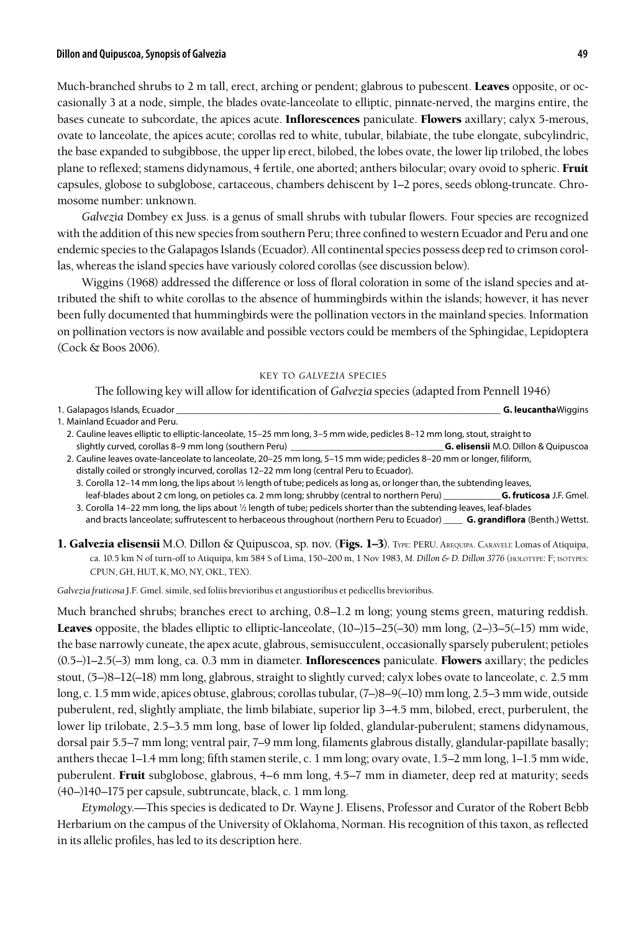# **Dillon and Quipuscoa, Synopsis of Galvezia 49**

Much-branched shrubs to 2 m tall, erect, arching or pendent; glabrous to pubescent. Leaves opposite, or occasionally 3 at a node, simple, the blades ovate-lanceolate to elliptic, pinnate-nerved, the margins entire, the bases cuneate to subcordate, the apices acute. **Inflorescences** paniculate. Flowers axillary; calyx 5-merous, ovate to lanceolate, the apices acute; corollas red to white, tubular, bilabiate, the tube elongate, subcylindric, the base expanded to subgibbose, the upper lip erect, bilobed, the lobes ovate, the lower lip trilobed, the lobes plane to reflexed; stamens didynamous, 4 fertile, one aborted; anthers bilocular; ovary ovoid to spheric. Fruit capsules, globose to subglobose, cartaceous, chambers dehiscent by 1–2 pores, seeds oblong-truncate. Chromosome number: unknown.

*Galvezia* Dombey ex Juss. is a genus of small shrubs with tubular flowers. Four species are recognized with the addition of this new species from southern Peru; three confined to western Ecuador and Peru and one endemic species to the Galapagos Islands (Ecuador). All continental species possess deep red to crimson corollas, whereas the island species have variously colored corollas (see discussion below).

Wiggins (1968) addressed the difference or loss of floral coloration in some of the island species and attributed the shift to white corollas to the absence of hummingbirds within the islands; however, it has never been fully documented that hummingbirds were the pollination vectors in the mainland species. Information on pollination vectors is now available and possible vectors could be members of the Sphingidae, Lepidoptera (Cock & Boos 2006).

#### key to *galvezia* species

The following key will allow for identification of *Galvezia* species (adapted from Pennell 1946)

| 1. Galapagos Islands, Ecuador                                                                                            | <b>G. leucantha</b> Wiggins                 |
|--------------------------------------------------------------------------------------------------------------------------|---------------------------------------------|
| 1. Mainland Ecuador and Peru.                                                                                            |                                             |
| 2. Cauline leaves elliptic to elliptic-lanceolate, 15–25 mm long, 3–5 mm wide, pedicles 8–12 mm long, stout, straight to |                                             |
| slightly curved, corollas 8–9 mm long (southern Peru)                                                                    | <b>G. elisensii</b> M.O. Dillon & Ouipuscoa |
| 2. Cauline leaves ovate-lanceolate to lanceolate, 20–25 mm long, 5–15 mm wide; pedicles 8–20 mm or longer, filiform,     |                                             |
| distally coiled or strongly incurved, corollas 12–22 mm long (central Peru to Ecuador).                                  |                                             |

3. Corolla 12-14 mm long, the lips about 1/3 length of tube; pedicels as long as, or longer than, the subtending leaves, leaf-blades about 2 cm long, on petioles ca. 2 mm long; shrubby (central to northern Peru) \_\_\_\_\_\_\_\_\_\_\_\_**G. fruticosa** J.F. Gmel.

3. Corolla 14–22 mm long, the lips about 1/2 length of tube; pedicels shorter than the subtending leaves, leaf-blades and bracts lanceolate; suffrutescent to herbaceous throughout (northern Peru to Ecuador) \_\_\_\_ **G. grandiflora** (Benth.) Wettst.

1. Galvezia elisensii M.O. Dillon & Quipuscoa, sp. nov. (Figs. 1–3). TYPE: PERU. AREQUIPA. CARAVELÍ: Lomas of Atiquipa, ca. 10.5 km N of turn-off to Atiquipa, km 584 S of Lima, 150–200 m, 1 Nov 1983, *M. Dillon & D. Dillon 3776* (holotype: F; isotypes: CPUN, GH, HUT, K, MO, NY, OKL, TEX).

*Galvezia fruticosa* J.F. Gmel. simile, sed foliis brevioribus et angustioribus et pedicellis brevioribus.

Much branched shrubs; branches erect to arching, 0.8–1.2 m long; young stems green, maturing reddish. **Leaves** opposite, the blades elliptic to elliptic-lanceolate,  $(10-115-25(-30)$  mm long,  $(2-3-5(-15)$  mm wide, the base narrowly cuneate, the apex acute, glabrous, semisucculent, occasionally sparsely puberulent; petioles  $(0.5–)1–2.5(-3)$  mm long, ca. 0.3 mm in diameter. **Inflorescences** paniculate. **Flowers** axillary; the pedicles stout, (5–)8–12(–18) mm long, glabrous, straight to slightly curved; calyx lobes ovate to lanceolate, c. 2.5 mm long, c. 1.5 mm wide, apices obtuse, glabrous; corollas tubular, (7–)8–9(–10) mm long, 2.5–3 mm wide, outside puberulent, red, slightly ampliate, the limb bilabiate, superior lip 3–4.5 mm, bilobed, erect, purberulent, the lower lip trilobate, 2.5–3.5 mm long, base of lower lip folded, glandular-puberulent; stamens didynamous, dorsal pair 5.5–7 mm long; ventral pair, 7–9 mm long, filaments glabrous distally, glandular-papillate basally; anthers thecae 1–1.4 mm long; fifth stamen sterile, c. 1 mm long; ovary ovate, 1.5–2 mm long, 1–1.5 mm wide, puberulent. Fruit subglobose, glabrous, 4–6 mm long, 4.5–7 mm in diameter, deep red at maturity; seeds (40–)140–175 per capsule, subtruncate, black, c. 1 mm long.

*Etymology.—*This species is dedicated to Dr. Wayne J. Elisens, Professor and Curator of the Robert Bebb Herbarium on the campus of the University of Oklahoma, Norman. His recognition of this taxon, as reflected in its allelic profiles, has led to its description here.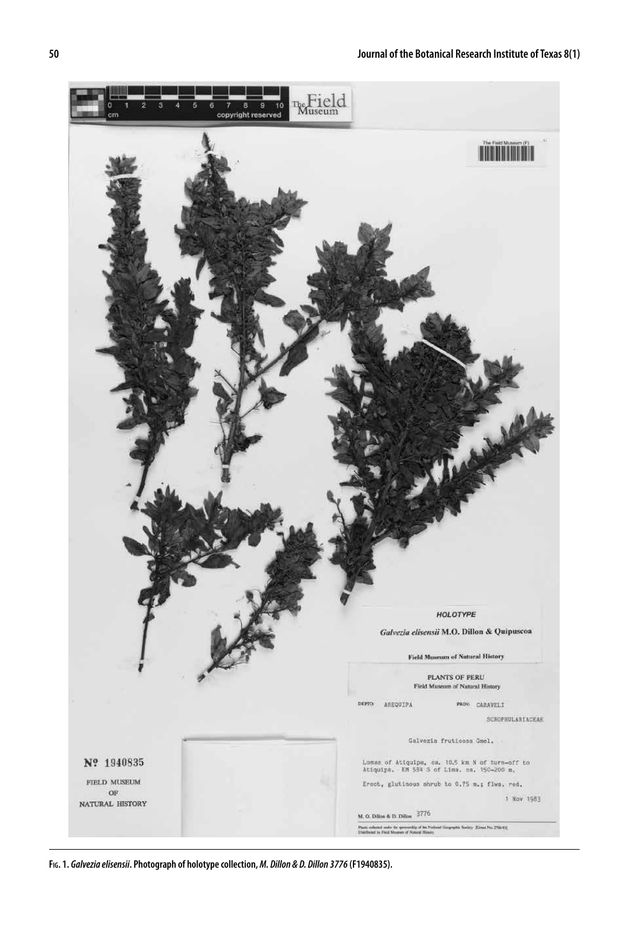

**Fig. 1.** *Galvezia elisensii***. Photograph of holotype collection,** *M. Dillon & D. Dillon 3776* **(F1940835).**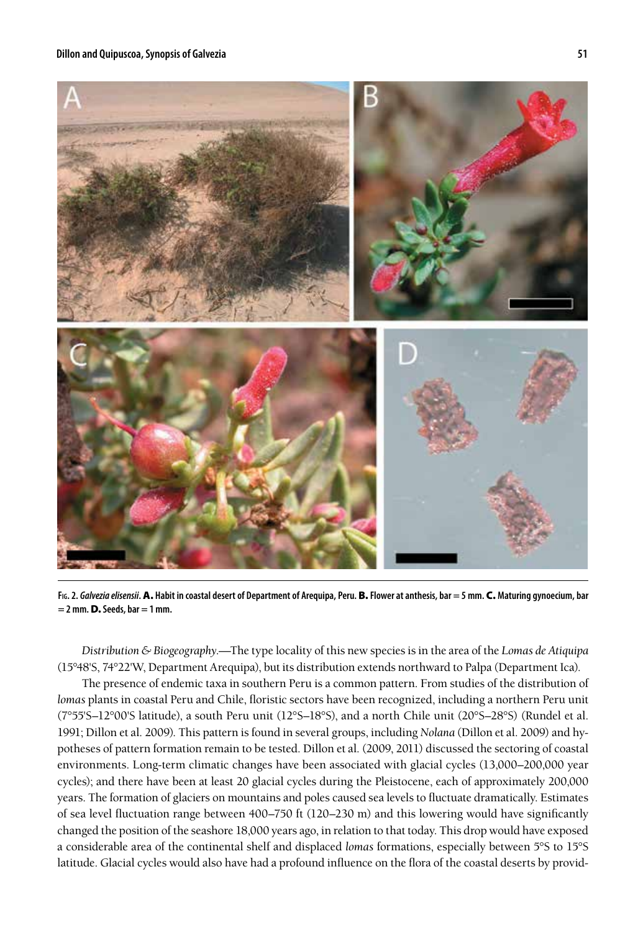

**Fig. 2.** *Galvezia elisensii***.** A. **Habit in coastal desert of Department of Arequipa, Peru.** B. **Flower at anthesis, bar = 5 mm.** C. **Maturing gynoecium, bar = 2 mm.** D. **Seeds, bar = 1 mm.**

*Distribution & Biogeography*.—The type locality of this new species is in the area of the *Lomas de Atiquipa* (15°48'S, 74°22'W, Department Arequipa), but its distribution extends northward to Palpa (Department Ica).

The presence of endemic taxa in southern Peru is a common pattern. From studies of the distribution of *lomas* plants in coastal Peru and Chile, floristic sectors have been recognized, including a northern Peru unit (7°55'S–12°00'S latitude), a south Peru unit (12°S–18°S), and a north Chile unit (20°S–28°S) (Rundel et al. 1991; Dillon et al. 2009). This pattern is found in several groups, including *Nolana* (Dillon et al. 2009) and hypotheses of pattern formation remain to be tested. Dillon et al. (2009, 2011) discussed the sectoring of coastal environments. Long-term climatic changes have been associated with glacial cycles (13,000–200,000 year cycles); and there have been at least 20 glacial cycles during the Pleistocene, each of approximately 200,000 years. The formation of glaciers on mountains and poles caused sea levels to fluctuate dramatically. Estimates of sea level fluctuation range between 400–750 ft (120–230 m) and this lowering would have significantly changed the position of the seashore 18,000 years ago, in relation to that today. This drop would have exposed a considerable area of the continental shelf and displaced *lomas* formations, especially between 5°S to 15°S latitude. Glacial cycles would also have had a profound influence on the flora of the coastal deserts by provid-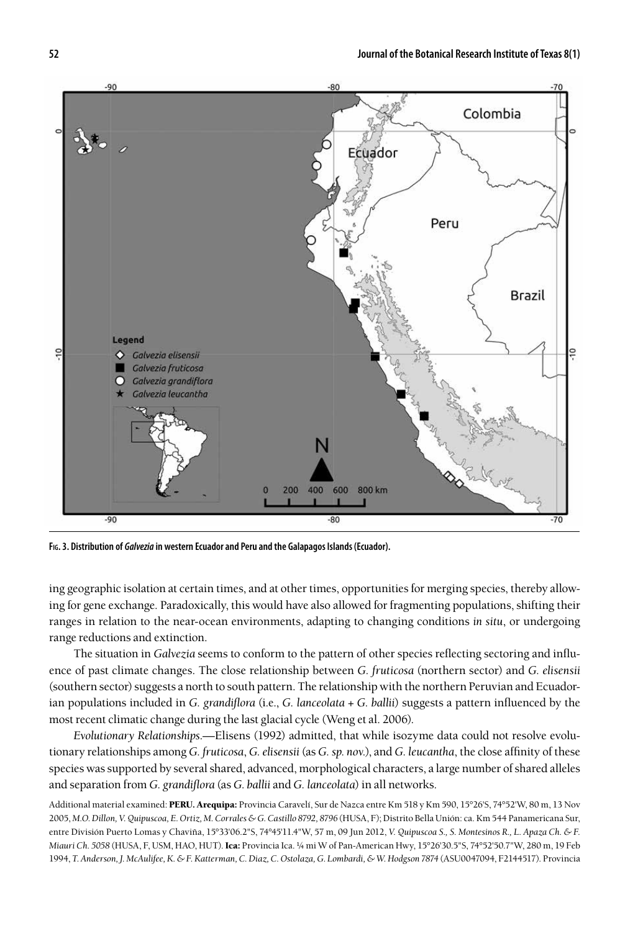

**Fig. 3. Distribution of** *Galvezia* **in western Ecuador and Peru and the Galapagos Islands (Ecuador).**

ing geographic isolation at certain times, and at other times, opportunities for merging species, thereby allowing for gene exchange. Paradoxically, this would have also allowed for fragmenting populations, shifting their ranges in relation to the near-ocean environments, adapting to changing conditions *in situ*, or undergoing range reductions and extinction.

The situation in *Galvezia* seems to conform to the pattern of other species reflecting sectoring and influence of past climate changes. The close relationship between *G. fruticosa* (northern sector) and *G. elisensii*  (southern sector) suggests a north to south pattern. The relationship with the northern Peruvian and Ecuadorian populations included in *G. grandiflora* (i.e., *G. lanceolata + G. ballii*) suggests a pattern influenced by the most recent climatic change during the last glacial cycle (Weng et al. 2006).

*Evolutionary Relationships*.—Elisens (1992) admitted, that while isozyme data could not resolve evolutionary relationships among *G. fruticosa*, *G. elisensii* (as *G. sp. nov.*), and *G. leucantha*, the close affinity of these species was supported by several shared, advanced, morphological characters, a large number of shared alleles and separation from *G. grandiflora* (as *G. ballii* and *G. lanceolata*) in all networks.

Additional material examined: PERU. Arequipa: Provincia Caravelí, Sur de Nazca entre Km 518 y Km 590, 15°26'S, 74°52'W, 80 m, 13 Nov 2005, *M.O. Dillon, V. Quipuscoa, E. Ortiz, M. Corrales & G. Castillo 8792, 8796* (HUSA, F); Distrito Bella Unión: ca. Km 544 Panamericana Sur, entre División Puerto Lomas y Chaviña, 15°33'06.2"S, 74°45'11.4"W, 57 m, 09 Jun 2012, *V. Quipuscoa S., S. Montesinos R., L. Apaza Ch. & F. Miauri Ch. 5058* (HUSA, F, USM, HAO, HUT). Ica: Provincia Ica. ¼ mi W of Pan-American Hwy, 15°26'30.5"S, 74°52'50.7"W, 280 m, 19 Feb 1994, *T. Anderson, J. McAulifee, K. & F. Katterman, C. Diaz, C. Ostolaza, G. Lombardi, & W. Hodgson 7874* (ASU0047094, F2144517). Provincia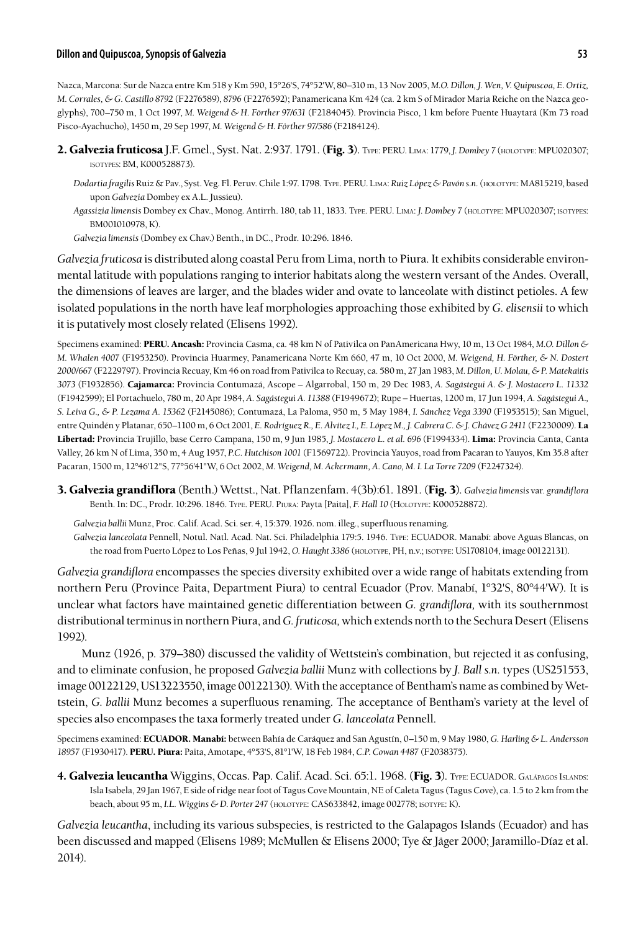# **Dillon and Quipuscoa, Synopsis of Galvezia 53**

Nazca, Marcona: Sur de Nazca entre Km 518 y Km 590, 15°26'S, 74°52'W, 80–310 m, 13 Nov 2005, *M.O. Dillon, J. Wen, V. Quipuscoa, E. Ortiz, M. Corrales, & G. Castillo 8792* (F2276589), *8796* (F2276592); Panamericana Km 424 (ca. 2 km S of Mirador Maria Reiche on the Nazca geoglyphs), 700–750 m, 1 Oct 1997, *M. Weigend & H. Förther 97/631* (F2184045). Provincia Pisco, 1 km before Puente Huaytará (Km 73 road Pisco-Ayachucho), 1450 m, 29 Sep 1997, *M. Weigend & H. Förther 97/586* (F2184124).

- 2. Galvezia fruticosa J.F. Gmel., Syst. Nat. 2:937. 1791. (Fig. 3). Type: PERU. Lima: 1779, *J. Dombey 7* (holotype: MPU020307; isotypes: BM, K000528873).
	- *Dodartia fragilis* Ruiz & Pav., Syst. Veg. Fl. Peruv. Chile 1:97. 1798. Type. PERU. Lima: *Ruiz López & Pavón s.n.* (holotype: MA815219, based upon *Galvezia* Dombey ex A.L. Jussieu).
	- *Agassizia limensis* Dombey ex Chav., Monog. Antirrh. 180, tab 11, 1833. Type. PERU. Lima: *J. Dombey 7* (holotype: MPU020307; isotypes: BM001010978, K).

*Galvezia limensis* (Dombey ex Chav.) Benth., in DC., Prodr. 10:296. 1846.

*Galvezia fruticosa* is distributed along coastal Peru from Lima, north to Piura. It exhibits considerable environmental latitude with populations ranging to interior habitats along the western versant of the Andes. Overall, the dimensions of leaves are larger, and the blades wider and ovate to lanceolate with distinct petioles. A few isolated populations in the north have leaf morphologies approaching those exhibited by *G. elisensii* to which it is putatively most closely related (Elisens 1992).

Specimens examined: PERU. Ancash: Provincia Casma, ca. 48 km N of Pativilca on PanAmericana Hwy, 10 m, 13 Oct 1984, *M.O. Dillon & M. Whalen 4007* (F1953250). Provincia Huarmey, Panamericana Norte Km 660, 47 m, 10 Oct 2000, *M. Weigend, H. Förther, & N. Dostert 2000/667* (F2229797). Provincia Recuay, Km 46 on road from Pativilca to Recuay, ca. 580 m, 27 Jan 1983, *M. Dillon, U. Molau, & P. Matekaitis 3073* (F1932856). Cajamarca: Provincia Contumazá, Ascope – Algarrobal, 150 m, 29 Dec 1983, *A. Sagástegui A. & J. Mostacero L. 11332*  (F1942599); El Portachuelo, 780 m, 20 Apr 1984, *A. Sagástegui A. 11388* (F1949672); Rupe – Huertas, 1200 m, 17 Jun 1994, *A. Sagástegui A., S. Leiva G., & P. Lezama A. 15362* (F2145086); Contumazá, La Paloma, 950 m, 5 May 1984, *I. Sánchez Vega 3390* (F1953515); San Miguel, entre Quindén y Platanar, 650–1100 m, 6 Oct 2001, *E. Rodríguez R., E. Alvítez I., E. López M., J. Cabrera C. & J. Chávez G 2411* (F2230009). La Libertad: Provincia Trujillo, base Cerro Campana, 150 m, 9 Jun 1985, *J. Mostacero L. et al. 696* (F1994334). Lima: Provincia Canta, Canta Valley, 26 km N of Lima, 350 m, 4 Aug 1957, *P.C. Hutchison 1001* (F1569722). Provincia Yauyos, road from Pacaran to Yauyos, Km 35.8 after Pacaran, 1500 m, 12°46'12"S, 77°56'41"W, 6 Oct 2002, *M. Weigend, M. Ackermann, A. Cano, M. I. La Torre 7209* (F2247324).

3. Galvezia grandiflora (Benth.) Wettst., Nat. Pflanzenfam. 4(3b):61. 1891. (Fig. 3). *Galvezia limensis* var. *grandiflora*  Benth. In: DC., Prodr. 10:296. 1846. Type. PERU. Piura: Payta [Paita], *F. Hall 10* (Holotype: K000528872).

*Galvezia ballii* Munz, Proc. Calif. Acad. Sci. ser. 4, 15:379. 1926. nom. illeg., superfluous renaming.

*Galvezia lanceolata* Pennell, Notul. Natl. Acad. Nat. Sci. Philadelphia 179:5. 1946. Type: ECUADOR. Manabí: above Aguas Blancas, on the road from Puerto López to Los Peñas, 9 Jul 1942, *O. Haught 3386* (holotype, PH, n.v.; isotype: US1708104, image 00122131).

*Galvezia grandiflora* encompasses the species diversity exhibited over a wide range of habitats extending from northern Peru (Province Paita, Department Piura) to central Ecuador (Prov. Manabí, 1°32'S, 80°44'W). It is unclear what factors have maintained genetic differentiation between *G. grandiflora,* with its southernmost distributional terminus in northern Piura, and *G. fruticosa,* which extends north to the Sechura Desert (Elisens 1992).

Munz (1926, p. 379–380) discussed the validity of Wettstein's combination, but rejected it as confusing, and to eliminate confusion, he proposed *Galvezia ballii* Munz with collections by *J. Ball s.n.* types (US251553, image 00122129, US13223550, image 00122130). With the acceptance of Bentham's name as combined by Wettstein, *G. ballii* Munz becomes a superfluous renaming. The acceptance of Bentham's variety at the level of species also encompases the taxa formerly treated under *G. lanceolata* Pennell.

Specimens examined: ECUADOR. Manabí: between Bahía de Caráquez and San Agustín, 0–150 m, 9 May 1980, *G. Harling & L. Andersson 18957* (F1930417). PERU. Piura: Paita, Amotape, 4°53'S, 81°1'W, 18 Feb 1984, *C.P. Cowan 4487* (F2038375).

4. Galvezia leucantha Wiggins, Occas. Pap. Calif. Acad. Sci. 65:1. 1968. (Fig. 3). Type: ECUADOR. GALÁPAGOS ISLANDS: Isla Isabela, 29 Jan 1967, E side of ridge near foot of Tagus Cove Mountain, NE of Caleta Tagus (Tagus Cove), ca. 1.5 to 2 km from the beach, about 95 m, *I.L. Wiggins & D. Porter 247* (holotype: CAS633842, image 002778; isotype: K).

*Galvezia leucantha*, including its various subspecies, is restricted to the Galapagos Islands (Ecuador) and has been discussed and mapped (Elisens 1989; McMullen & Elisens 2000; Tye & Jäger 2000; Jaramillo-Díaz et al. 2014).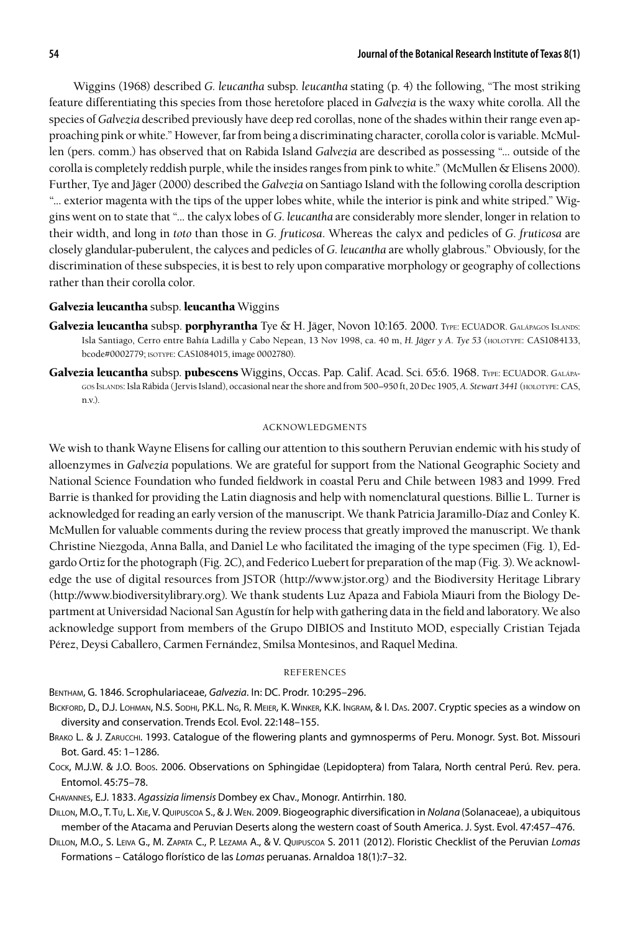Wiggins (1968) described *G. leucantha* subsp. *leucantha* stating (p. 4) the following, "The most striking feature differentiating this species from those heretofore placed in *Galvezia* is the waxy white corolla. All the species of *Galvezia* described previously have deep red corollas, none of the shades within their range even approaching pink or white." However, far from being a discriminating character, corolla color is variable. McMullen (pers. comm.) has observed that on Rabida Island *Galvezia* are described as possessing "... outside of the corolla is completely reddish purple, while the insides ranges from pink to white." (McMullen & Elisens 2000). Further, Tye and Jäger (2000) described the *Galvezia* on Santiago Island with the following corolla description "... exterior magenta with the tips of the upper lobes white, while the interior is pink and white striped." Wiggins went on to state that "... the calyx lobes of *G. leucantha* are considerably more slender, longer in relation to their width, and long in *toto* than those in *G. fruticosa*. Whereas the calyx and pedicles of *G. fruticosa* are closely glandular-puberulent, the calyces and pedicles of *G. leucantha* are wholly glabrous." Obviously, for the discrimination of these subspecies, it is best to rely upon comparative morphology or geography of collections rather than their corolla color.

# Galvezia leucantha subsp. leucantha Wiggins

- Galvezia leucantha subsp. porphyrantha Tye & H. Jäger, Novon 10:165. 2000. Type: ECUADOR. GALÁPAGOS ISLANDS: Isla Santiago, Cerro entre Bahía Ladilla y Cabo Nepean, 13 Nov 1998, ca. 40 m, *H. Jäger y A. Tye 53* (holotype: CAS1084133, bcode#0002779; isotype: CAS1084015, image 0002780).
- Galvezia leucantha subsp. pubescens Wiggins, Occas. Pap. Calif. Acad. Sci. 65:6. 1968. TYPE: ECUADOR. GALÁPAgos Islands: Isla Rábida (Jervis Island), occasional near the shore and from 500–950 ft, 20 Dec 1905, *A. Stewart 3441* (holotype: CAS, n.v.).

#### acknowledgments

We wish to thank Wayne Elisens for calling our attention to this southern Peruvian endemic with his study of alloenzymes in *Galvezia* populations. We are grateful for support from the National Geographic Society and National Science Foundation who funded fieldwork in coastal Peru and Chile between 1983 and 1999. Fred Barrie is thanked for providing the Latin diagnosis and help with nomenclatural questions. Billie L. Turner is acknowledged for reading an early version of the manuscript. We thank Patricia Jaramillo-Díaz and Conley K. McMullen for valuable comments during the review process that greatly improved the manuscript. We thank Christine Niezgoda, Anna Balla, and Daniel Le who facilitated the imaging of the type specimen (Fig. 1), Edgardo Ortiz for the photograph (Fig. 2C), and Federico Luebert for preparation of the map (Fig. 3). We acknowledge the use of digital resources from JSTOR (http://www.jstor.org) and the Biodiversity Heritage Library (http://www.biodiversitylibrary.org). We thank students Luz Apaza and Fabiola Miauri from the Biology Department at Universidad Nacional San Agustín for help with gathering data in the field and laboratory. We also acknowledge support from members of the Grupo DIBIOS and Instituto MOD, especially Cristian Tejada Pérez, Deysi Caballero, Carmen Fernández, Smilsa Montesinos, and Raquel Medina.

#### **REFERENCES**

Bentham, G. 1846. Scrophulariaceae, *Galvezia*. In: DC. Prodr. 10:295–296.

- Bickford, D., D.J. Lohman, N.S. Sodhi, P.K.L. Ng, R. Meier, K. Winker, K.K. Ingram, & I. Das. 2007. Cryptic species as a window on diversity and conservation. Trends Ecol. Evol. 22:148–155.
- Brako L. & J. Zarucchi. 1993. Catalogue of the flowering plants and gymnosperms of Peru. Monogr. Syst. Bot. Missouri Bot. Gard. 45: 1–1286.
- Cock, M.J.W. & J.O. Boos. 2006. Observations on Sphingidae (Lepidoptera) from Talara, North central Perú. Rev. pera. Entomol. 45:75–78.

Chavannes, E.J. 1833. *Agassizia limensis* Dombey ex Chav., Monogr. Antirrhin. 180.

Dillon, M.O., T. Tu, L. Xie, V. Quipuscoa S., & J. Wen. 2009. Biogeographic diversification in *Nolana* (Solanaceae), a ubiquitous member of the Atacama and Peruvian Deserts along the western coast of South America. J. Syst. Evol. 47:457–476.

Dillon, M.O., S. Leiva G., M. Zapata C., P. Lezama A., & V. Quipuscoa S. 2011 (2012). Floristic Checklist of the Peruvian *Lomas*  Formations – Catálogo florístico de las *Lomas* peruanas. Arnaldoa 18(1):7–32.